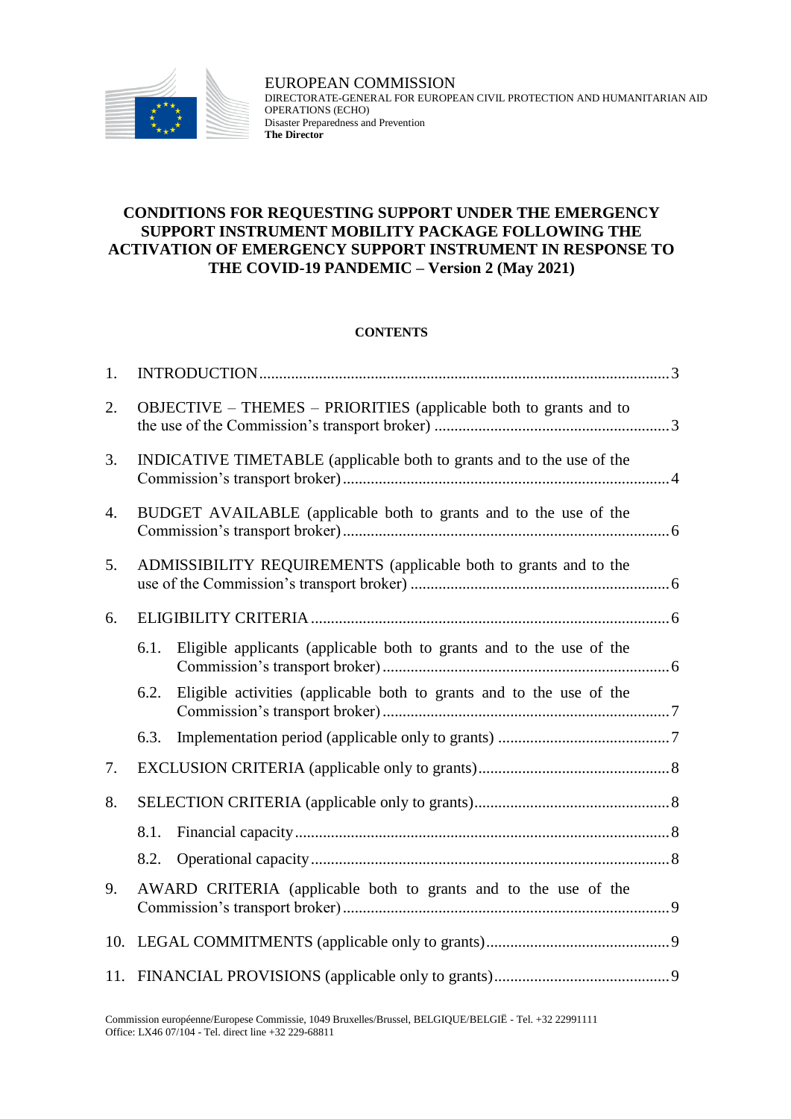

## **CONDITIONS FOR REQUESTING SUPPORT UNDER THE EMERGENCY SUPPORT INSTRUMENT MOBILITY PACKAGE FOLLOWING THE ACTIVATION OF EMERGENCY SUPPORT INSTRUMENT IN RESPONSE TO THE COVID-19 PANDEMIC – Version 2 (May 2021)**

#### **CONTENTS**

| 1.               |                                                                       |                                                                      |  |
|------------------|-----------------------------------------------------------------------|----------------------------------------------------------------------|--|
| 2.               |                                                                       | OBJECTIVE – THEMES – PRIORITIES (applicable both to grants and to    |  |
| 3.               | INDICATIVE TIMETABLE (applicable both to grants and to the use of the |                                                                      |  |
| $\overline{4}$ . | BUDGET AVAILABLE (applicable both to grants and to the use of the     |                                                                      |  |
| 5.               | ADMISSIBILITY REQUIREMENTS (applicable both to grants and to the      |                                                                      |  |
| 6.               |                                                                       |                                                                      |  |
|                  | 6.1.                                                                  | Eligible applicants (applicable both to grants and to the use of the |  |
|                  | 6.2.                                                                  | Eligible activities (applicable both to grants and to the use of the |  |
|                  | 6.3.                                                                  |                                                                      |  |
| 7.               |                                                                       |                                                                      |  |
| 8.               |                                                                       |                                                                      |  |
|                  | 8.1.                                                                  |                                                                      |  |
|                  | 8.2.                                                                  |                                                                      |  |
| 9.               | AWARD CRITERIA (applicable both to grants and to the use of the       |                                                                      |  |
|                  |                                                                       |                                                                      |  |
|                  |                                                                       |                                                                      |  |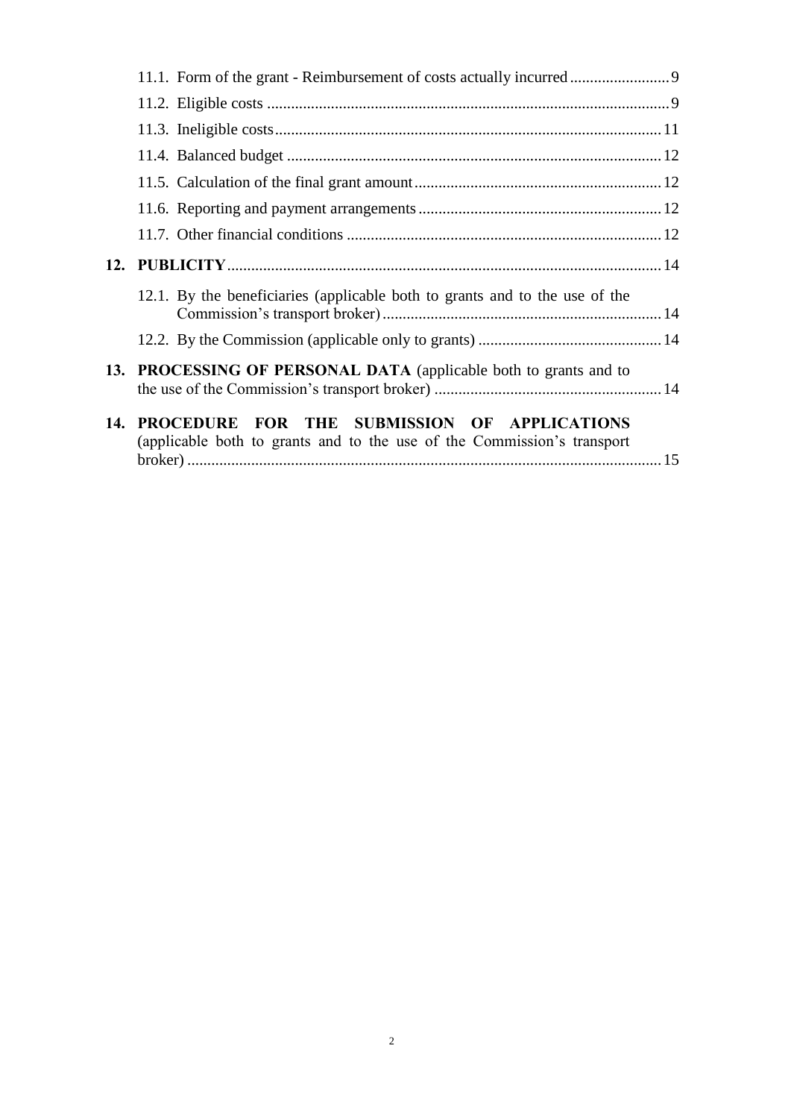<span id="page-1-0"></span>

|     | 12.1. By the beneficiaries (applicable both to grants and to the use of the                                             |  |
|-----|-------------------------------------------------------------------------------------------------------------------------|--|
|     |                                                                                                                         |  |
|     | 13. PROCESSING OF PERSONAL DATA (applicable both to grants and to                                                       |  |
| 14. | PROCEDURE FOR THE SUBMISSION OF APPLICATIONS<br>(applicable both to grants and to the use of the Commission's transport |  |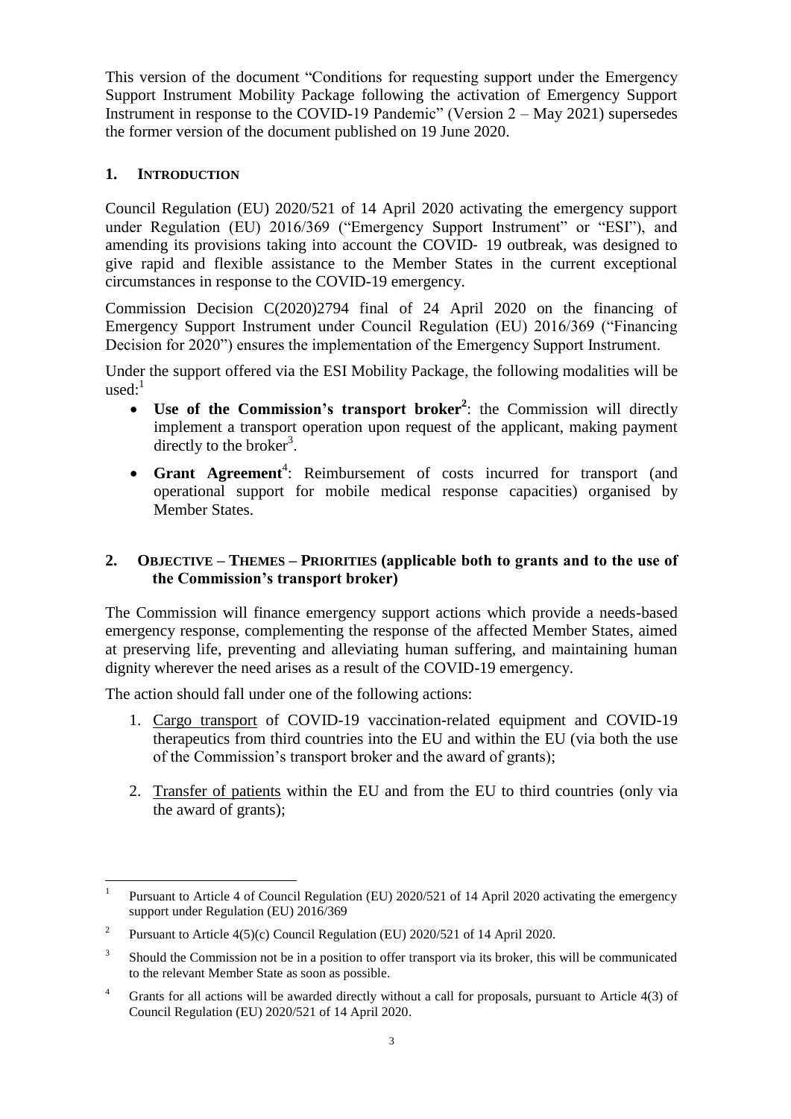This version of the document "Conditions for requesting support under the Emergency Support Instrument Mobility Package following the activation of Emergency Support Instrument in response to the COVID-19 Pandemic" (Version 2 – May 2021) supersedes the former version of the document published on 19 June 2020.

## **1. INTRODUCTION**

Council Regulation (EU) 2020/521 of 14 April 2020 activating the emergency support under Regulation (EU) 2016/369 ("Emergency Support Instrument" or "ESI"), and amending its provisions taking into account the COVID‐ 19 outbreak, was designed to give rapid and flexible assistance to the Member States in the current exceptional circumstances in response to the COVID-19 emergency.

Commission Decision C(2020)2794 final of 24 April 2020 on the financing of Emergency Support Instrument under Council Regulation (EU) 2016/369 ("Financing Decision for 2020") ensures the implementation of the Emergency Support Instrument.

Under the support offered via the ESI Mobility Package, the following modalities will be used: $1$ 

- **Use of the Commission's transport broker<sup>2</sup>** : the Commission will directly implement a transport operation upon request of the applicant, making payment directly to the broker<sup>3</sup>.
- Grant Agreement<sup>4</sup>: Reimbursement of costs incurred for transport (and operational support for mobile medical response capacities) organised by Member States.

## <span id="page-2-0"></span>**2. OBJECTIVE – THEMES – PRIORITIES (applicable both to grants and to the use of the Commission's transport broker)**

The Commission will finance emergency support actions which provide a needs-based emergency response, complementing the response of the affected Member States, aimed at preserving life, preventing and alleviating human suffering, and maintaining human dignity wherever the need arises as a result of the COVID-19 emergency.

The action should fall under one of the following actions:

- 1. Cargo transport of COVID-19 vaccination-related equipment and COVID-19 therapeutics from third countries into the EU and within the EU (via both the use of the Commission's transport broker and the award of grants);
- 2. Transfer of patients within the EU and from the EU to third countries (only via the award of grants);

 $\overline{a}$ 1 Pursuant to Article 4 of Council Regulation (EU) 2020/521 of 14 April 2020 activating the emergency support under Regulation (EU) 2016/369

<sup>2</sup> Pursuant to Article 4(5)(c) Council Regulation (EU) 2020/521 of 14 April 2020.

<sup>3</sup> Should the Commission not be in a position to offer transport via its broker, this will be communicated to the relevant Member State as soon as possible.

<sup>&</sup>lt;sup>4</sup> Grants for all actions will be awarded directly without a call for proposals, pursuant to Article 4(3) of Council Regulation (EU) 2020/521 of 14 April 2020.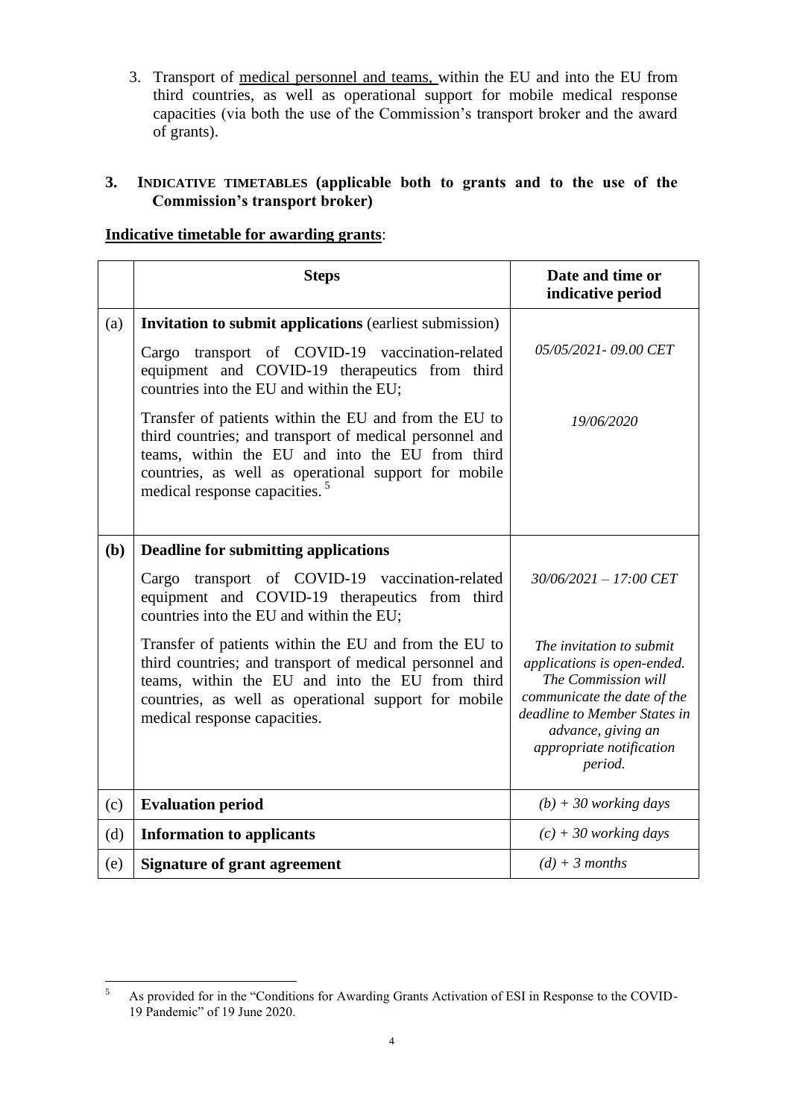3. Transport of medical personnel and teams, within the EU and into the EU from third countries, as well as operational support for mobile medical response capacities (via both the use of the Commission's transport broker and the award of grants).

## <span id="page-3-0"></span>**3. INDICATIVE TIMETABLES (applicable both to grants and to the use of the Commission's transport broker)**

## **Indicative timetable for awarding grants**:

|     | <b>Steps</b>                                                                                                                                                                                                                                                             | Date and time or<br>indicative period                                                                                                                                                                      |
|-----|--------------------------------------------------------------------------------------------------------------------------------------------------------------------------------------------------------------------------------------------------------------------------|------------------------------------------------------------------------------------------------------------------------------------------------------------------------------------------------------------|
| (a) | <b>Invitation to submit applications (earliest submission)</b>                                                                                                                                                                                                           |                                                                                                                                                                                                            |
|     | Cargo transport of COVID-19 vaccination-related<br>equipment and COVID-19 therapeutics from third<br>countries into the EU and within the EU;                                                                                                                            | 05/05/2021 - 09.00 CET                                                                                                                                                                                     |
|     | Transfer of patients within the EU and from the EU to<br>third countries; and transport of medical personnel and<br>teams, within the EU and into the EU from third<br>countries, as well as operational support for mobile<br>medical response capacities. <sup>5</sup> | 19/06/2020                                                                                                                                                                                                 |
| (b) | <b>Deadline for submitting applications</b>                                                                                                                                                                                                                              |                                                                                                                                                                                                            |
|     | transport of COVID-19 vaccination-related<br>Cargo<br>equipment and COVID-19 therapeutics from third<br>countries into the EU and within the EU;                                                                                                                         | $30/06/2021 - 17:00$ CET                                                                                                                                                                                   |
|     | Transfer of patients within the EU and from the EU to<br>third countries; and transport of medical personnel and<br>teams, within the EU and into the EU from third<br>countries, as well as operational support for mobile<br>medical response capacities.              | The invitation to submit<br>applications is open-ended.<br>The Commission will<br>communicate the date of the<br>deadline to Member States in<br>advance, giving an<br>appropriate notification<br>period. |
| (c) | <b>Evaluation period</b>                                                                                                                                                                                                                                                 | $(b) + 30$ working days                                                                                                                                                                                    |
| (d) | <b>Information to applicants</b>                                                                                                                                                                                                                                         | $(c) + 30$ working days                                                                                                                                                                                    |
| (e) | <b>Signature of grant agreement</b>                                                                                                                                                                                                                                      | $(d) + 3$ months                                                                                                                                                                                           |

 $\overline{5}$ <sup>5</sup> As provided for in the "Conditions for Awarding Grants Activation of ESI in Response to the COVID-19 Pandemic" of 19 June 2020.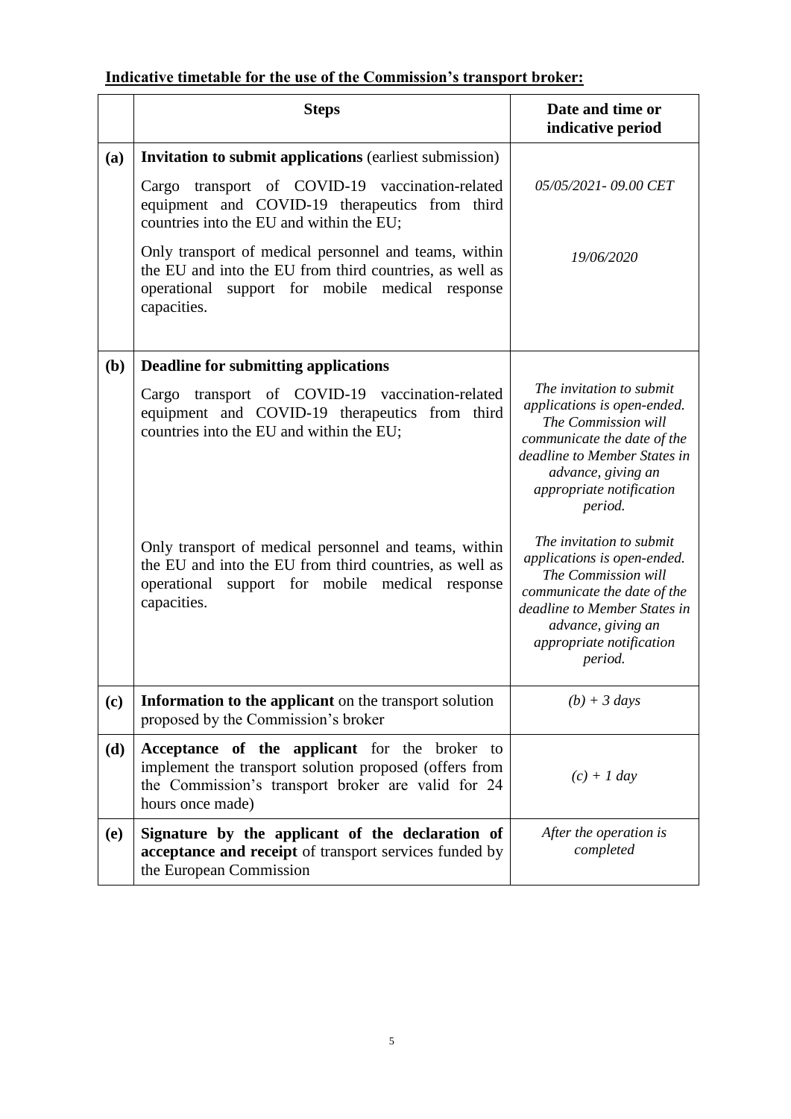## **Indicative timetable for the use of the Commission's transport broker:**

|            | <b>Steps</b>                                                                                                                                                                          | Date and time or<br>indicative period                                                                                                                                                                      |
|------------|---------------------------------------------------------------------------------------------------------------------------------------------------------------------------------------|------------------------------------------------------------------------------------------------------------------------------------------------------------------------------------------------------------|
| (a)        | <b>Invitation to submit applications (earliest submission)</b>                                                                                                                        |                                                                                                                                                                                                            |
|            | Cargo transport of COVID-19 vaccination-related<br>equipment and COVID-19 therapeutics from third<br>countries into the EU and within the EU;                                         | 05/05/2021 - 09.00 CET                                                                                                                                                                                     |
|            | Only transport of medical personnel and teams, within<br>the EU and into the EU from third countries, as well as<br>operational support for mobile medical response<br>capacities.    | 19/06/2020                                                                                                                                                                                                 |
| (b)        | <b>Deadline for submitting applications</b>                                                                                                                                           |                                                                                                                                                                                                            |
|            | transport of COVID-19 vaccination-related<br>Cargo<br>equipment and COVID-19 therapeutics from third<br>countries into the EU and within the EU;                                      | The invitation to submit<br>applications is open-ended.<br>The Commission will<br>communicate the date of the<br>deadline to Member States in<br>advance, giving an<br>appropriate notification<br>period. |
|            | Only transport of medical personnel and teams, within<br>the EU and into the EU from third countries, as well as<br>support for mobile medical response<br>operational<br>capacities. | The invitation to submit<br>applications is open-ended.<br>The Commission will<br>communicate the date of the<br>deadline to Member States in<br>advance, giving an<br>appropriate notification<br>period. |
| (c)        | Information to the applicant on the transport solution<br>proposed by the Commission's broker                                                                                         | $(b) + 3 \text{ days}$                                                                                                                                                                                     |
| (d)        | Acceptance of the applicant for the broker to<br>implement the transport solution proposed (offers from<br>the Commission's transport broker are valid for 24<br>hours once made)     | $(c) + 1$ day                                                                                                                                                                                              |
| <b>(e)</b> | Signature by the applicant of the declaration of<br>acceptance and receipt of transport services funded by<br>the European Commission                                                 | After the operation is<br>completed                                                                                                                                                                        |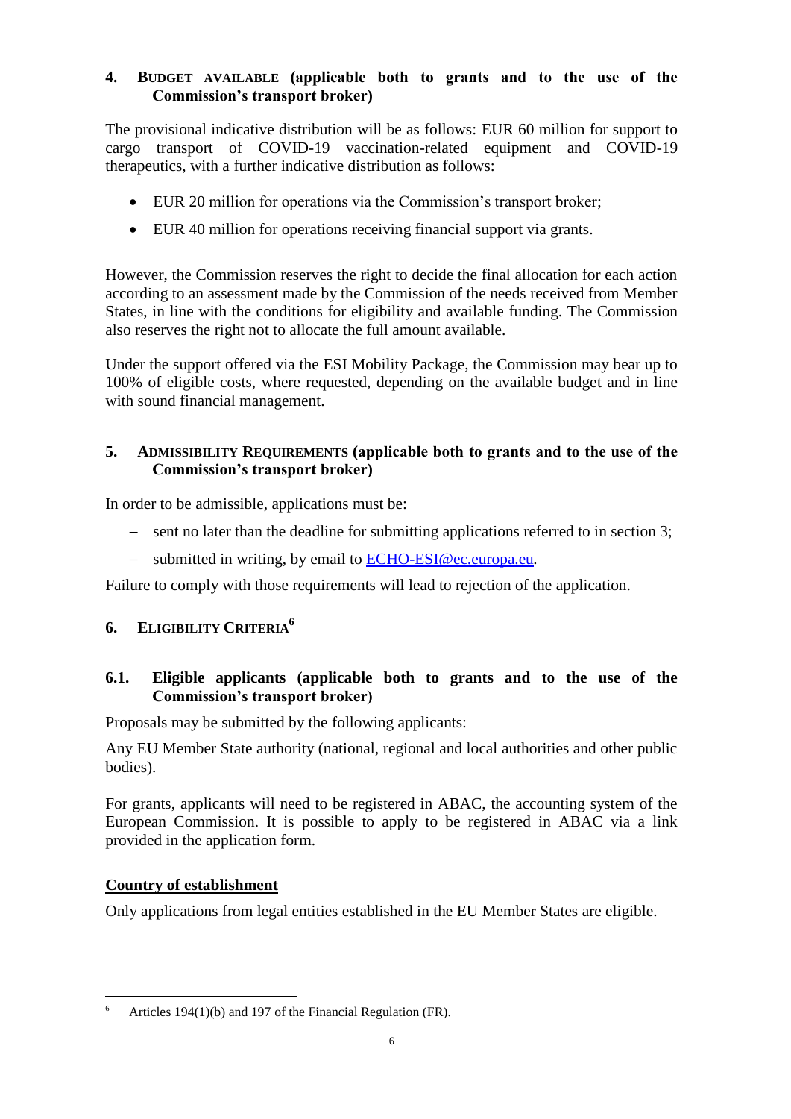## <span id="page-5-0"></span>**4. BUDGET AVAILABLE (applicable both to grants and to the use of the Commission's transport broker)**

The provisional indicative distribution will be as follows: EUR 60 million for support to cargo transport of COVID-19 vaccination-related equipment and COVID-19 therapeutics, with a further indicative distribution as follows:

- EUR 20 million for operations via the Commission's transport broker;
- EUR 40 million for operations receiving financial support via grants.

However, the Commission reserves the right to decide the final allocation for each action according to an assessment made by the Commission of the needs received from Member States, in line with the conditions for eligibility and available funding. The Commission also reserves the right not to allocate the full amount available.

Under the support offered via the ESI Mobility Package, the Commission may bear up to 100% of eligible costs, where requested, depending on the available budget and in line with sound financial management.

## <span id="page-5-1"></span>**5. ADMISSIBILITY REQUIREMENTS (applicable both to grants and to the use of the Commission's transport broker)**

In order to be admissible, applications must be:

- sent no later than the deadline for submitting applications referred to in section 3;
- submitted in writing, by email to [ECHO-ESI@ec.europa.eu](mailto:ECHO-ESI@ec.europa.eu)*.*

Failure to comply with those requirements will lead to rejection of the application.

## <span id="page-5-2"></span>**6. ELIGIBILITY CRITERIA<sup>6</sup>**

## <span id="page-5-3"></span>**6.1. Eligible applicants (applicable both to grants and to the use of the Commission's transport broker)**

Proposals may be submitted by the following applicants:

Any EU Member State authority (national, regional and local authorities and other public bodies).

For grants, applicants will need to be registered in ABAC, the accounting system of the European Commission. It is possible to apply to be registered in ABAC via a link provided in the application form.

## **Country of establishment**

Only applications from legal entities established in the EU Member States are eligible.

 $\overline{a}$ Articles 194(1)(b) and 197 of the Financial Regulation (FR).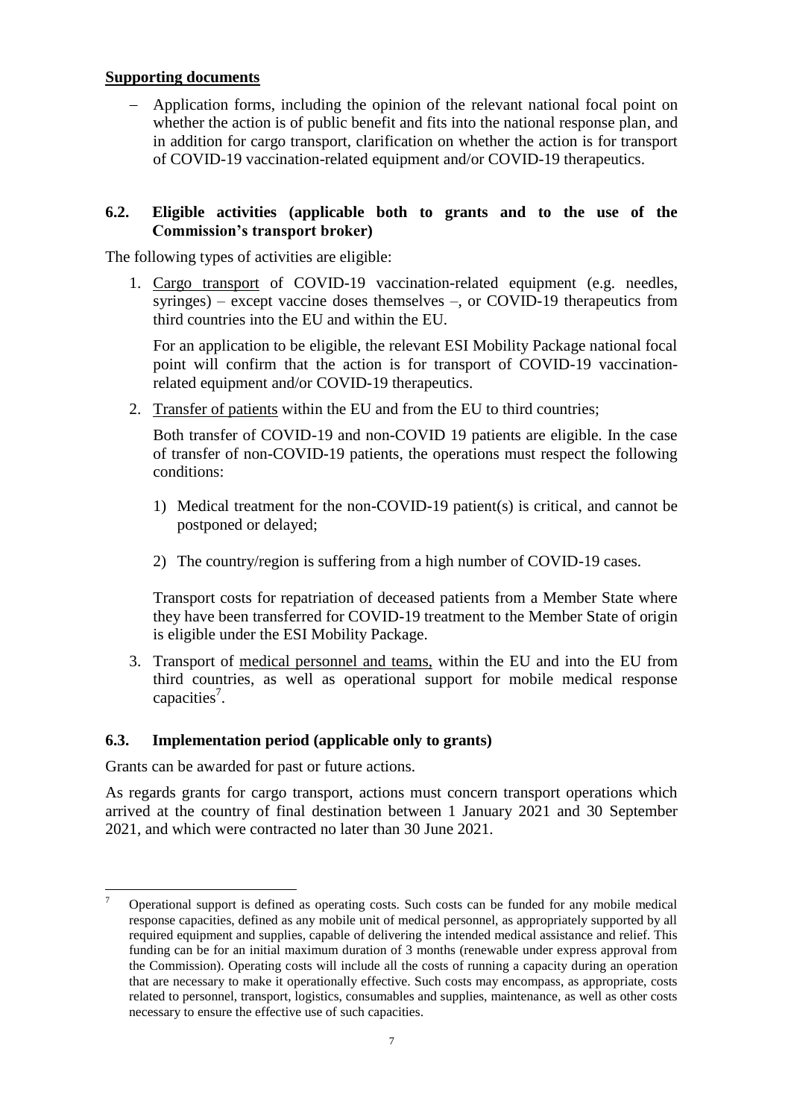## **Supporting documents**

 Application forms, including the opinion of the relevant national focal point on whether the action is of public benefit and fits into the national response plan, and in addition for cargo transport, clarification on whether the action is for transport of COVID-19 vaccination-related equipment and/or COVID-19 therapeutics.

#### <span id="page-6-0"></span>**6.2. Eligible activities (applicable both to grants and to the use of the Commission's transport broker)**

The following types of activities are eligible:

1. Cargo transport of COVID-19 vaccination-related equipment (e.g. needles, syringes) – except vaccine doses themselves –, or COVID-19 therapeutics from third countries into the EU and within the EU.

For an application to be eligible, the relevant ESI Mobility Package national focal point will confirm that the action is for transport of COVID-19 vaccinationrelated equipment and/or COVID-19 therapeutics.

2. Transfer of patients within the EU and from the EU to third countries;

Both transfer of COVID-19 and non-COVID 19 patients are eligible. In the case of transfer of non-COVID-19 patients, the operations must respect the following conditions:

- 1) Medical treatment for the non-COVID-19 patient(s) is critical, and cannot be postponed or delayed;
- 2) The country/region is suffering from a high number of COVID-19 cases.

Transport costs for repatriation of deceased patients from a Member State where they have been transferred for COVID-19 treatment to the Member State of origin is eligible under the ESI Mobility Package.

3. Transport of medical personnel and teams, within the EU and into the EU from third countries, as well as operational support for mobile medical response capacities<sup>7</sup>.

## <span id="page-6-1"></span>**6.3. Implementation period (applicable only to grants)**

Grants can be awarded for past or future actions.

As regards grants for cargo transport, actions must concern transport operations which arrived at the country of final destination between 1 January 2021 and 30 September 2021, and which were contracted no later than 30 June 2021.

 $\overline{7}$ <sup>7</sup> Operational support is defined as operating costs. Such costs can be funded for any mobile medical response capacities, defined as any mobile unit of medical personnel, as appropriately supported by all required equipment and supplies, capable of delivering the intended medical assistance and relief. This funding can be for an initial maximum duration of 3 months (renewable under express approval from the Commission). Operating costs will include all the costs of running a capacity during an operation that are necessary to make it operationally effective. Such costs may encompass, as appropriate, costs related to personnel, transport, logistics, consumables and supplies, maintenance, as well as other costs necessary to ensure the effective use of such capacities.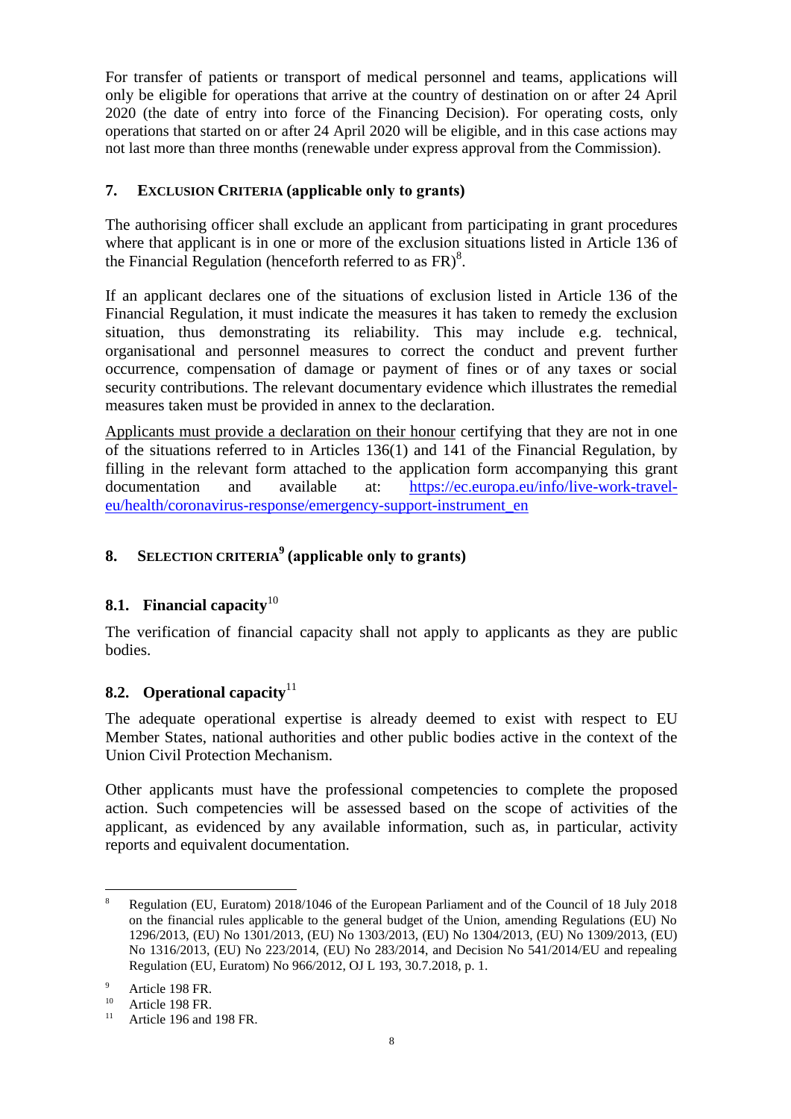For transfer of patients or transport of medical personnel and teams, applications will only be eligible for operations that arrive at the country of destination on or after 24 April 2020 (the date of entry into force of the Financing Decision). For operating costs, only operations that started on or after 24 April 2020 will be eligible, and in this case actions may not last more than three months (renewable under express approval from the Commission).

## <span id="page-7-0"></span>**7. EXCLUSION CRITERIA (applicable only to grants)**

The authorising officer shall exclude an applicant from participating in grant procedures where that applicant is in one or more of the exclusion situations listed in Article 136 of the Financial Regulation (henceforth referred to as  $FR$ )<sup>8</sup>.

If an applicant declares one of the situations of exclusion listed in Article 136 of the Financial Regulation, it must indicate the measures it has taken to remedy the exclusion situation, thus demonstrating its reliability. This may include e.g. technical, organisational and personnel measures to correct the conduct and prevent further occurrence, compensation of damage or payment of fines or of any taxes or social security contributions. The relevant documentary evidence which illustrates the remedial measures taken must be provided in annex to the declaration.

Applicants must provide a declaration on their honour certifying that they are not in one of the situations referred to in Articles 136(1) and 141 of the Financial Regulation, by filling in the relevant form attached to the application form accompanying this grant documentation and available at: [https://ec.europa.eu/info/live-work-travel](https://ec.europa.eu/info/live-work-travel-eu/health/coronavirus-response/emergency-support-instrument_en)[eu/health/coronavirus-response/emergency-support-instrument\\_en](https://ec.europa.eu/info/live-work-travel-eu/health/coronavirus-response/emergency-support-instrument_en)

## <span id="page-7-1"></span>**8. SELECTION CRITERIA<sup>9</sup> (applicable only to grants)**

## <span id="page-7-2"></span>**8.1. Financial capacity**<sup>10</sup>

The verification of financial capacity shall not apply to applicants as they are public bodies.

## <span id="page-7-3"></span>**8.2. Operational capacity**<sup>11</sup>

The adequate operational expertise is already deemed to exist with respect to EU Member States, national authorities and other public bodies active in the context of the Union Civil Protection Mechanism.

Other applicants must have the professional competencies to complete the proposed action. Such competencies will be assessed based on the scope of activities of the applicant, as evidenced by any available information, such as, in particular, activity reports and equivalent documentation.

 $\overline{a}$ 

<sup>8</sup> Regulation (EU, Euratom) 2018/1046 of the European Parliament and of the Council of 18 July 2018 on the financial rules applicable to the general budget of the Union, amending Regulations (EU) No 1296/2013, (EU) No 1301/2013, (EU) No 1303/2013, (EU) No 1304/2013, (EU) No 1309/2013, (EU) No 1316/2013, (EU) No 223/2014, (EU) No 283/2014, and Decision No 541/2014/EU and repealing Regulation (EU, Euratom) No 966/2012, OJ L 193, 30.7.2018, p. 1.

 $^{9}$  Article 198 FR.

 $10$  Article 198 FR.

Article 196 and 198 FR.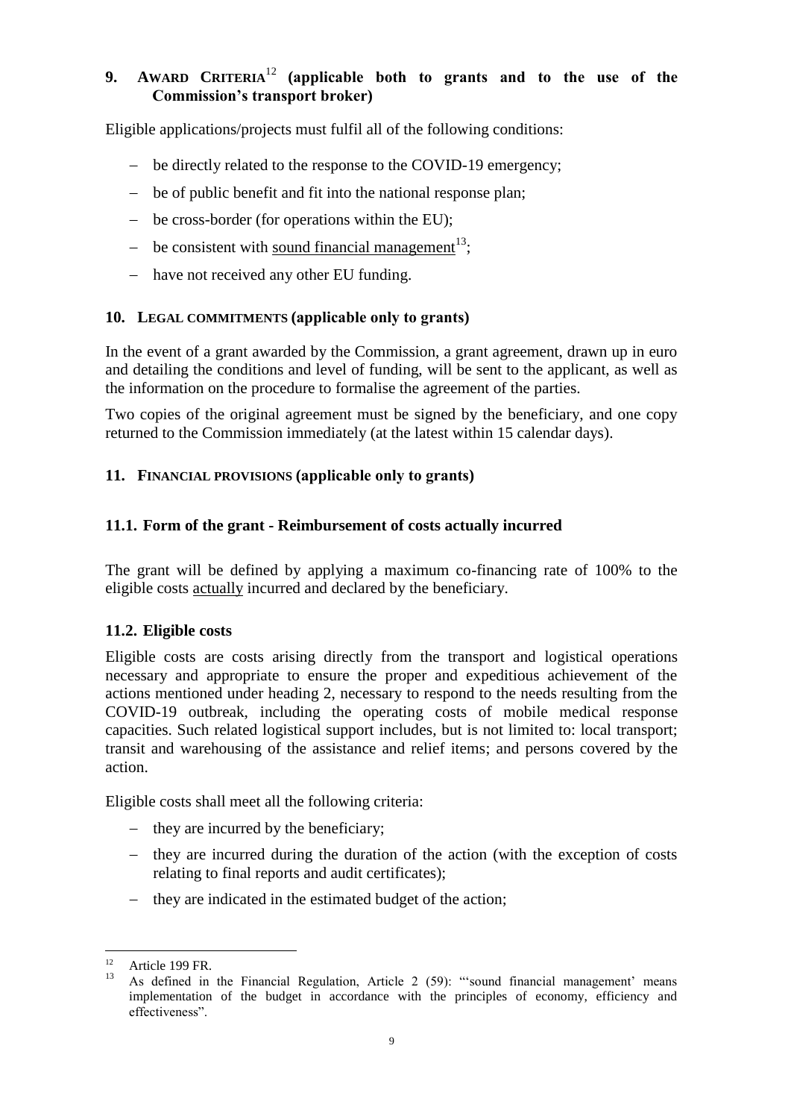## <span id="page-8-0"></span>**9. AWARD CRITERIA**<sup>12</sup> **(applicable both to grants and to the use of the Commission's transport broker)**

Eligible applications/projects must fulfil all of the following conditions:

- be directly related to the response to the COVID-19 emergency;
- be of public benefit and fit into the national response plan;
- be cross-border (for operations within the EU);
- be consistent with <u>sound financial management</u><sup>13</sup>;
- have not received any other EU funding.

## <span id="page-8-1"></span>**10. LEGAL COMMITMENTS (applicable only to grants)**

In the event of a grant awarded by the Commission, a grant agreement, drawn up in euro and detailing the conditions and level of funding, will be sent to the applicant, as well as the information on the procedure to formalise the agreement of the parties.

Two copies of the original agreement must be signed by the beneficiary, and one copy returned to the Commission immediately (at the latest within 15 calendar days).

## <span id="page-8-2"></span>**11. FINANCIAL PROVISIONS (applicable only to grants)**

## <span id="page-8-3"></span>**11.1. Form of the grant - Reimbursement of costs actually incurred**

The grant will be defined by applying a maximum co-financing rate of 100% to the eligible costs actually incurred and declared by the beneficiary.

## <span id="page-8-4"></span>**11.2. Eligible costs**

Eligible costs are costs arising directly from the transport and logistical operations necessary and appropriate to ensure the proper and expeditious achievement of the actions mentioned under heading 2, necessary to respond to the needs resulting from the COVID-19 outbreak, including the operating costs of mobile medical response capacities. Such related logistical support includes, but is not limited to: local transport; transit and warehousing of the assistance and relief items; and persons covered by the action.

Eligible costs shall meet all the following criteria:

- $-$  they are incurred by the beneficiary;
- they are incurred during the duration of the action (with the exception of costs relating to final reports and audit certificates);
- they are indicated in the estimated budget of the action;

 $12<sup>12</sup>$ Article 199 FR.

<sup>13</sup> As defined in the Financial Regulation, Article 2 (59): "'sound financial management' means implementation of the budget in accordance with the principles of economy, efficiency and effectiveness".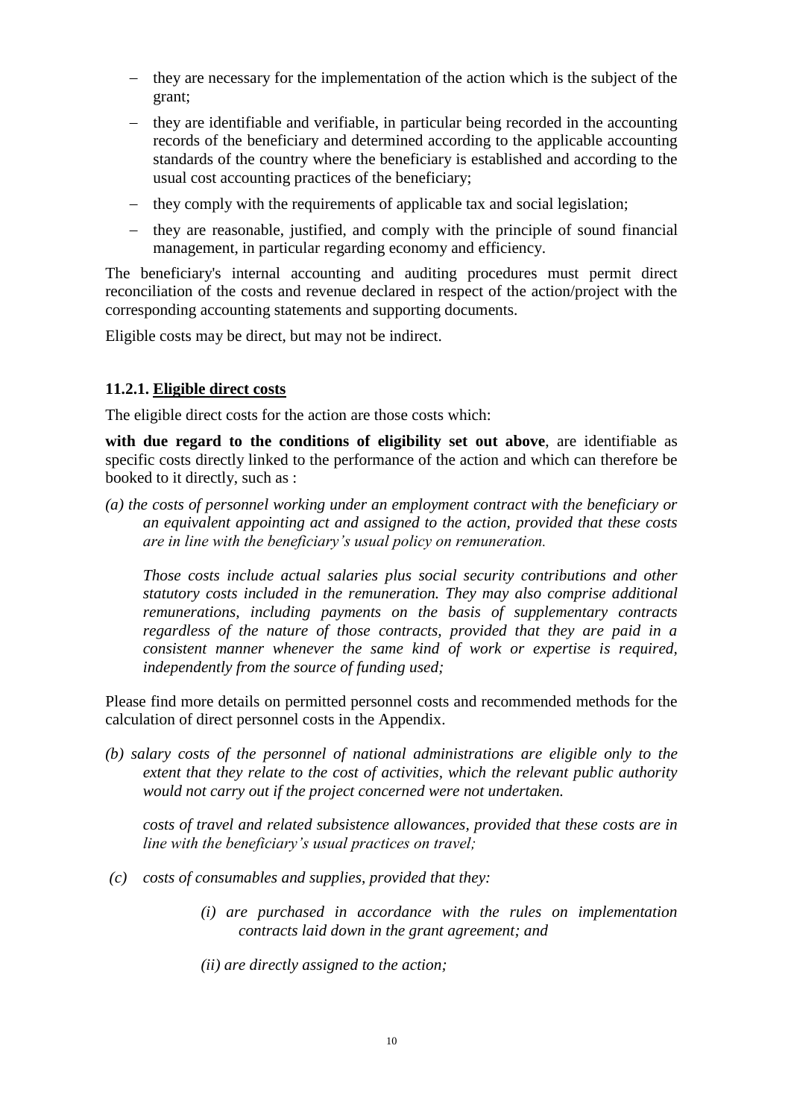- they are necessary for the implementation of the action which is the subject of the grant;
- they are identifiable and verifiable, in particular being recorded in the accounting records of the beneficiary and determined according to the applicable accounting standards of the country where the beneficiary is established and according to the usual cost accounting practices of the beneficiary;
- they comply with the requirements of applicable tax and social legislation;
- they are reasonable, justified, and comply with the principle of sound financial management, in particular regarding economy and efficiency.

The beneficiary's internal accounting and auditing procedures must permit direct reconciliation of the costs and revenue declared in respect of the action/project with the corresponding accounting statements and supporting documents.

Eligible costs may be direct, but may not be indirect.

#### **11.2.1. Eligible direct costs**

The eligible direct costs for the action are those costs which:

**with due regard to the conditions of eligibility set out above**, are identifiable as specific costs directly linked to the performance of the action and which can therefore be booked to it directly, such as :

*(a) the costs of personnel working under an employment contract with the beneficiary or an equivalent appointing act and assigned to the action, provided that these costs are in line with the beneficiary's usual policy on remuneration.*

*Those costs include actual salaries plus social security contributions and other statutory costs included in the remuneration. They may also comprise additional remunerations, including payments on the basis of supplementary contracts regardless of the nature of those contracts, provided that they are paid in a consistent manner whenever the same kind of work or expertise is required, independently from the source of funding used;*

Please find more details on permitted personnel costs and recommended methods for the calculation of direct personnel costs in the Appendix.

*(b) salary costs of the personnel of national administrations are eligible only to the extent that they relate to the cost of activities, which the relevant public authority would not carry out if the project concerned were not undertaken.*

*costs of travel and related subsistence allowances, provided that these costs are in line with the beneficiary's usual practices on travel;*

- *(c) costs of consumables and supplies, provided that they:*
	- *(i) are purchased in accordance with the rules on implementation contracts laid down in the grant agreement; and*

*(ii) are directly assigned to the action;*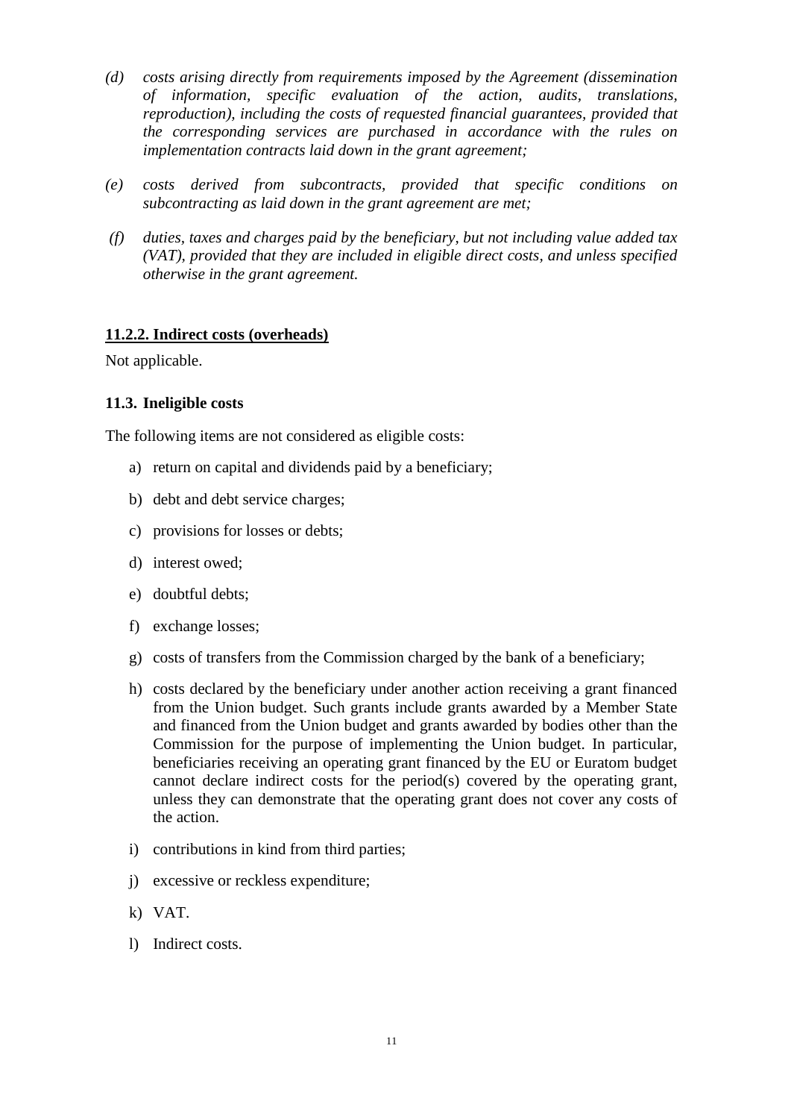- *(d) costs arising directly from requirements imposed by the Agreement (dissemination of information, specific evaluation of the action, audits, translations, reproduction), including the costs of requested financial guarantees, provided that the corresponding services are purchased in accordance with the rules on implementation contracts laid down in the grant agreement;*
- *(e) costs derived from subcontracts, provided that specific conditions on subcontracting as laid down in the grant agreement are met;*
- *(f) duties, taxes and charges paid by the beneficiary, but not including value added tax (VAT), provided that they are included in eligible direct costs, and unless specified otherwise in the grant agreement.*

#### **11.2.2. Indirect costs (overheads)**

Not applicable.

#### <span id="page-10-0"></span>**11.3. Ineligible costs**

The following items are not considered as eligible costs:

- a) return on capital and dividends paid by a beneficiary;
- b) debt and debt service charges;
- c) provisions for losses or debts;
- d) interest owed;
- e) doubtful debts;
- f) exchange losses;
- g) costs of transfers from the Commission charged by the bank of a beneficiary;
- h) costs declared by the beneficiary under another action receiving a grant financed from the Union budget. Such grants include grants awarded by a Member State and financed from the Union budget and grants awarded by bodies other than the Commission for the purpose of implementing the Union budget. In particular, beneficiaries receiving an operating grant financed by the EU or Euratom budget cannot declare indirect costs for the period(s) covered by the operating grant, unless they can demonstrate that the operating grant does not cover any costs of the action.
- i) contributions in kind from third parties;
- j) excessive or reckless expenditure;
- k) VAT.
- l) Indirect costs.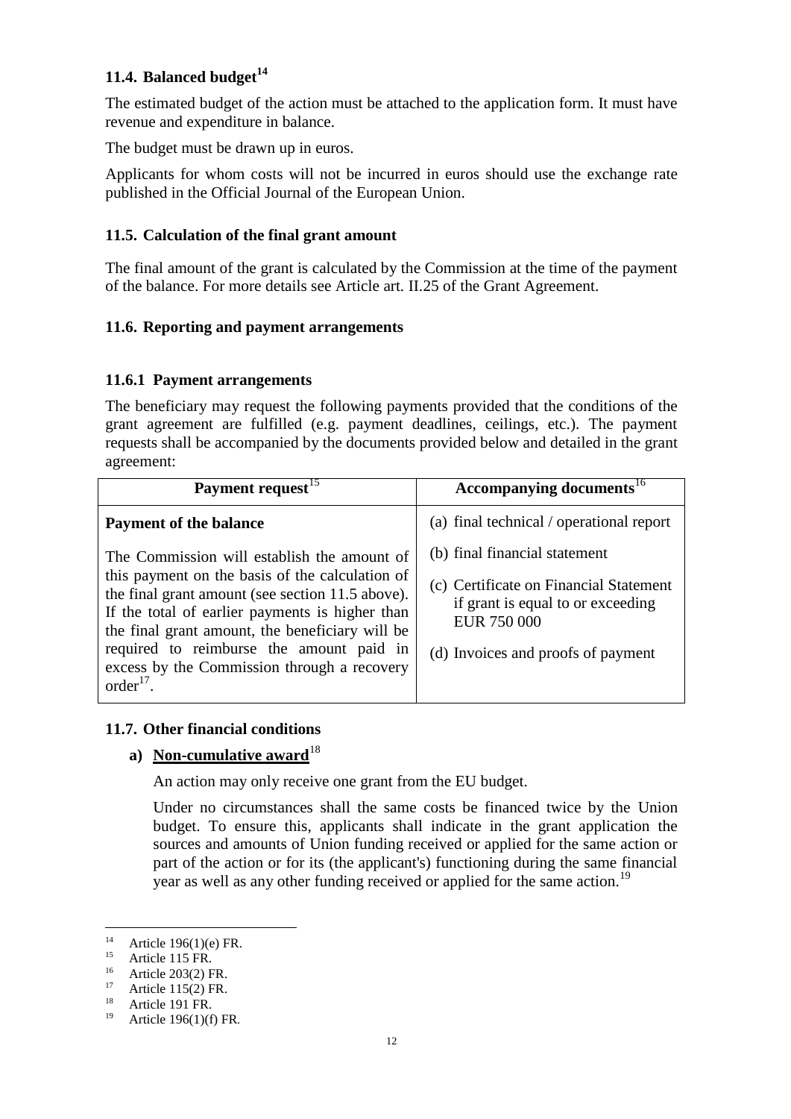## <span id="page-11-0"></span>**11.4. Balanced budget<sup>14</sup>**

The estimated budget of the action must be attached to the application form. It must have revenue and expenditure in balance.

The budget must be drawn up in euros.

Applicants for whom costs will not be incurred in euros should use the exchange rate published in the Official Journal of the European Union.

## <span id="page-11-1"></span>**11.5. Calculation of the final grant amount**

The final amount of the grant is calculated by the Commission at the time of the payment of the balance. For more details see Article art. II.25 of the Grant Agreement.

## <span id="page-11-2"></span>**11.6. Reporting and payment arrangements**

## **11.6.1 Payment arrangements**

The beneficiary may request the following payments provided that the conditions of the grant agreement are fulfilled (e.g. payment deadlines, ceilings, etc.). The payment requests shall be accompanied by the documents provided below and detailed in the grant agreement:

| Payment request <sup>15</sup>                                                                                                                                                                                                                                                                                                                       | Accompanying documents <sup>16</sup>                                                                                                                              |
|-----------------------------------------------------------------------------------------------------------------------------------------------------------------------------------------------------------------------------------------------------------------------------------------------------------------------------------------------------|-------------------------------------------------------------------------------------------------------------------------------------------------------------------|
| <b>Payment of the balance</b>                                                                                                                                                                                                                                                                                                                       | (a) final technical / operational report                                                                                                                          |
| The Commission will establish the amount of<br>this payment on the basis of the calculation of<br>the final grant amount (see section 11.5 above).<br>If the total of earlier payments is higher than<br>the final grant amount, the beneficiary will be<br>required to reimburse the amount paid in<br>excess by the Commission through a recovery | (b) final financial statement<br>(c) Certificate on Financial Statement<br>if grant is equal to or exceeding<br>EUR 750 000<br>(d) Invoices and proofs of payment |
| order <sup>17</sup>                                                                                                                                                                                                                                                                                                                                 |                                                                                                                                                                   |

#### <span id="page-11-3"></span>**11.7. Other financial conditions**

#### **a**) Non-cumulative award<sup>18</sup>

An action may only receive one grant from the EU budget.

Under no circumstances shall the same costs be financed twice by the Union budget. To ensure this, applicants shall indicate in the grant application the sources and amounts of Union funding received or applied for the same action or part of the action or for its (the applicant's) functioning during the same financial year as well as any other funding received or applied for the same action.<sup>19</sup>

 $\overline{a}$ 

<sup>&</sup>lt;sup>14</sup> Article 196(1)(e) FR.

<sup>&</sup>lt;sup>15</sup> Article 115 FR.

<sup>&</sup>lt;sup>16</sup> Article 203(2) FR.

<sup>&</sup>lt;sup>17</sup> Article 115(2) FR.

<sup>&</sup>lt;sup>18</sup> Article 191 FR.

<sup>19</sup> Article 196(1)(f) FR*.*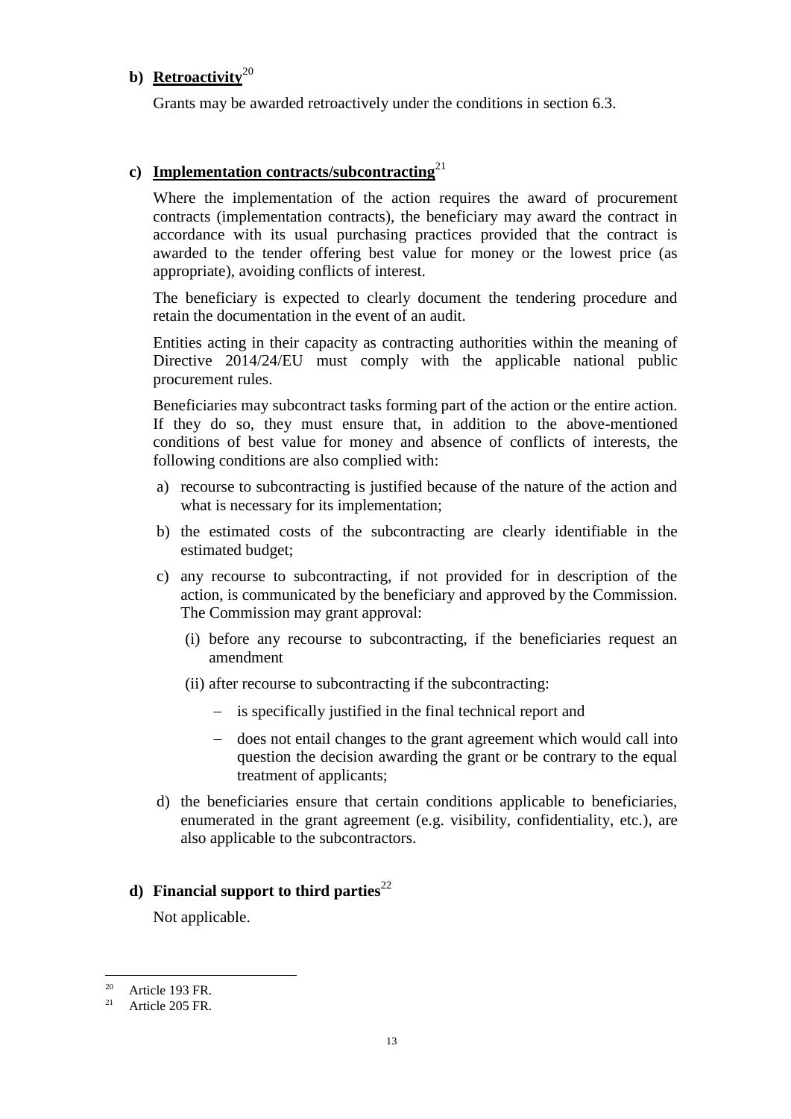### **b) Retroactivity**<sup>20</sup>

Grants may be awarded retroactively under the conditions in section 6.3.

## **c) Implementation contracts/subcontracting**<sup>21</sup>

Where the implementation of the action requires the award of procurement contracts (implementation contracts), the beneficiary may award the contract in accordance with its usual purchasing practices provided that the contract is awarded to the tender offering best value for money or the lowest price (as appropriate), avoiding conflicts of interest.

The beneficiary is expected to clearly document the tendering procedure and retain the documentation in the event of an audit.

Entities acting in their capacity as contracting authorities within the meaning of Directive 2014/24/EU must comply with the applicable national public procurement rules.

Beneficiaries may subcontract tasks forming part of the action or the entire action. If they do so, they must ensure that, in addition to the above-mentioned conditions of best value for money and absence of conflicts of interests, the following conditions are also complied with:

- a) recourse to subcontracting is justified because of the nature of the action and what is necessary for its implementation:
- b) the estimated costs of the subcontracting are clearly identifiable in the estimated budget;
- c) any recourse to subcontracting, if not provided for in description of the action, is communicated by the beneficiary and approved by the Commission. The Commission may grant approval:
	- (i) before any recourse to subcontracting, if the beneficiaries request an amendment
	- (ii) after recourse to subcontracting if the subcontracting:
		- is specifically justified in the final technical report and
		- does not entail changes to the grant agreement which would call into question the decision awarding the grant or be contrary to the equal treatment of applicants;
- d) the beneficiaries ensure that certain conditions applicable to beneficiaries, enumerated in the grant agreement (e.g. visibility, confidentiality, etc.), are also applicable to the subcontractors.

## **d**) **Financial support to third parties**<sup>22</sup>

Not applicable.

 $\overline{a}$ 

<sup>&</sup>lt;sup>20</sup> Article 193 FR.<br><sup>21</sup> Article 205 FB.

Article 205 FR.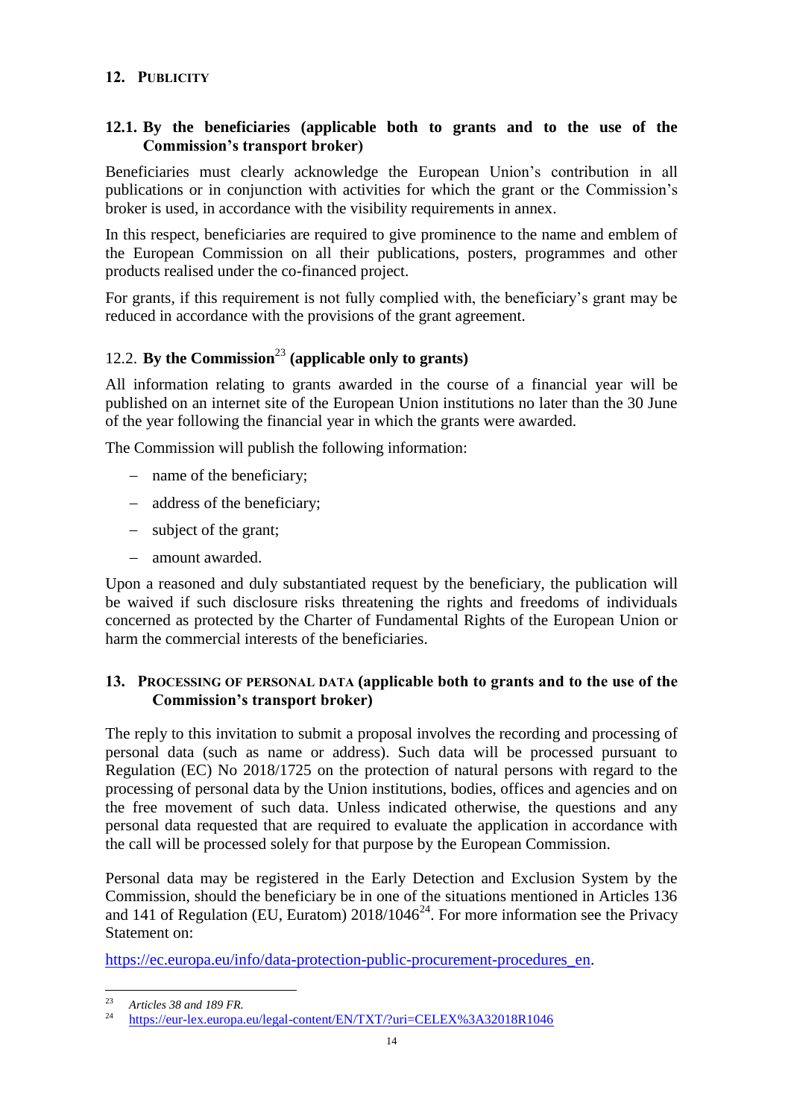### <span id="page-13-0"></span>**12. PUBLICITY**

## <span id="page-13-1"></span>**12.1. By the beneficiaries (applicable both to grants and to the use of the Commission's transport broker)**

Beneficiaries must clearly acknowledge the European Union's contribution in all publications or in conjunction with activities for which the grant or the Commission's broker is used, in accordance with the visibility requirements in annex.

In this respect, beneficiaries are required to give prominence to the name and emblem of the European Commission on all their publications, posters, programmes and other products realised under the co-financed project.

For grants, if this requirement is not fully complied with, the beneficiary's grant may be reduced in accordance with the provisions of the grant agreement.

## <span id="page-13-2"></span>12.2. **By the Commission**<sup>23</sup> **(applicable only to grants)**

All information relating to grants awarded in the course of a financial year will be published on an internet site of the European Union institutions no later than the 30 June of the year following the financial year in which the grants were awarded.

The Commission will publish the following information:

- name of the beneficiary:
- address of the beneficiary;
- subject of the grant;
- amount awarded.

Upon a reasoned and duly substantiated request by the beneficiary, the publication will be waived if such disclosure risks threatening the rights and freedoms of individuals concerned as protected by the Charter of Fundamental Rights of the European Union or harm the commercial interests of the beneficiaries.

#### <span id="page-13-3"></span>**13. PROCESSING OF PERSONAL DATA (applicable both to grants and to the use of the Commission's transport broker)**

The reply to this invitation to submit a proposal involves the recording and processing of personal data (such as name or address). Such data will be processed pursuant to Regulation (EC) No 2018/1725 on the protection of natural persons with regard to the processing of personal data by the Union institutions, bodies, offices and agencies and on the free movement of such data. Unless indicated otherwise, the questions and any personal data requested that are required to evaluate the application in accordance with the call will be processed solely for that purpose by the European Commission.

Personal data may be registered in the Early Detection and Exclusion System by the Commission, should the beneficiary be in one of the situations mentioned in Articles 136 and 141 of Regulation (EU, Euratom)  $2018/1046^{24}$ . For more information see the Privacy Statement on:

[https://ec.europa.eu/info/data-protection-public-procurement-procedures\\_en.](https://ec.europa.eu/info/data-protection-public-procurement-procedures_en)

 $2<sup>2</sup>$ <sup>23</sup> *Articles 38 and 189 FR.*

<sup>24</sup> <https://eur-lex.europa.eu/legal-content/EN/TXT/?uri=CELEX%3A32018R1046>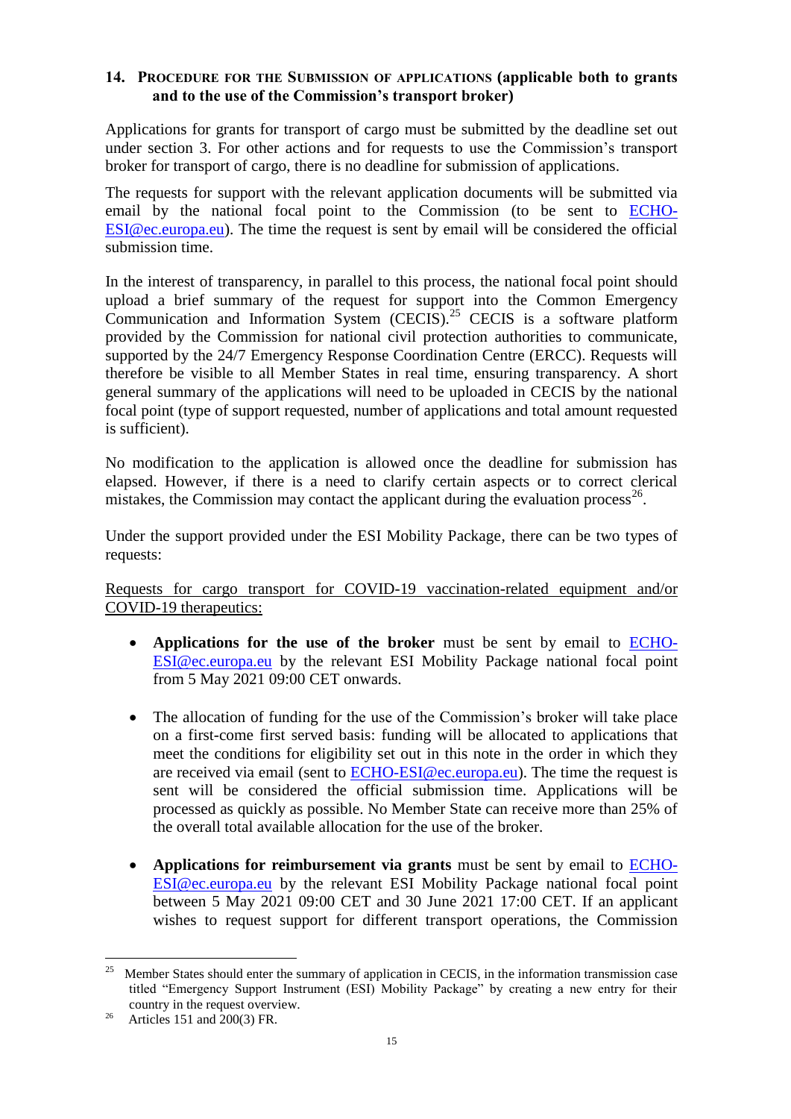#### <span id="page-14-0"></span>**14. PROCEDURE FOR THE SUBMISSION OF APPLICATIONS (applicable both to grants and to the use of the Commission's transport broker)**

Applications for grants for transport of cargo must be submitted by the deadline set out under section 3. For other actions and for requests to use the Commission's transport broker for transport of cargo, there is no deadline for submission of applications.

The requests for support with the relevant application documents will be submitted via email by the national focal point to the Commission (to be sent to [ECHO-](mailto:ECHO-ESI@ec.europa.eu)[ESI@ec.europa.eu\)](mailto:ECHO-ESI@ec.europa.eu). The time the request is sent by email will be considered the official submission time.

In the interest of transparency, in parallel to this process, the national focal point should upload a brief summary of the request for support into the Common Emergency Communication and Information System (CECIS).<sup>25</sup> CECIS is a software platform provided by the Commission for national civil protection authorities to communicate, supported by the 24/7 Emergency Response Coordination Centre (ERCC). Requests will therefore be visible to all Member States in real time, ensuring transparency. A short general summary of the applications will need to be uploaded in CECIS by the national focal point (type of support requested, number of applications and total amount requested is sufficient).

No modification to the application is allowed once the deadline for submission has elapsed. However, if there is a need to clarify certain aspects or to correct clerical mistakes, the Commission may contact the applicant during the evaluation process<sup>26</sup>.

Under the support provided under the ESI Mobility Package, there can be two types of requests:

Requests for cargo transport for COVID-19 vaccination-related equipment and/or COVID-19 therapeutics:

- **Applications for the use of the broker** must be sent by email to [ECHO-](mailto:ECHO-ESI@ec.europa.eu)[ESI@ec.europa.eu](mailto:ECHO-ESI@ec.europa.eu) by the relevant ESI Mobility Package national focal point from 5 May 2021 09:00 CET onwards.
- The allocation of funding for the use of the Commission's broker will take place on a first-come first served basis: funding will be allocated to applications that meet the conditions for eligibility set out in this note in the order in which they are received via email (sent to [ECHO-ESI@ec.europa.eu\)](mailto:ECHO-ESI@ec.europa.eu). The time the request is sent will be considered the official submission time. Applications will be processed as quickly as possible. No Member State can receive more than 25% of the overall total available allocation for the use of the broker.
- **Applications for reimbursement via grants** must be sent by email to [ECHO-](mailto:ECHO-ESI@ec.europa.eu)[ESI@ec.europa.eu](mailto:ECHO-ESI@ec.europa.eu) by the relevant ESI Mobility Package national focal point between 5 May 2021 09:00 CET and 30 June 2021 17:00 CET. If an applicant wishes to request support for different transport operations, the Commission

 $\overline{a}$ 25 Member States should enter the summary of application in CECIS, in the information transmission case titled "Emergency Support Instrument (ESI) Mobility Package" by creating a new entry for their country in the request overview.

<sup>26</sup> Articles 151 and 200(3) FR.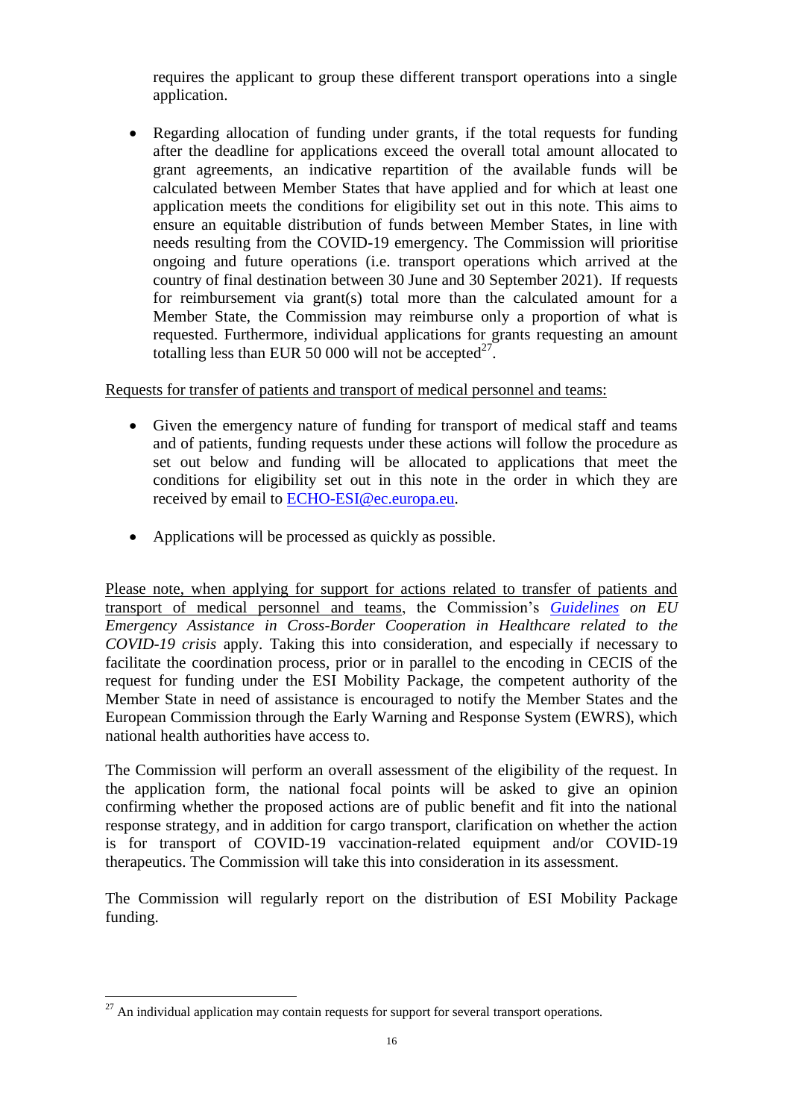requires the applicant to group these different transport operations into a single application.

 Regarding allocation of funding under grants, if the total requests for funding after the deadline for applications exceed the overall total amount allocated to grant agreements, an indicative repartition of the available funds will be calculated between Member States that have applied and for which at least one application meets the conditions for eligibility set out in this note. This aims to ensure an equitable distribution of funds between Member States, in line with needs resulting from the COVID-19 emergency. The Commission will prioritise ongoing and future operations (i.e. transport operations which arrived at the country of final destination between 30 June and 30 September 2021). If requests for reimbursement via grant(s) total more than the calculated amount for a Member State, the Commission may reimburse only a proportion of what is requested. Furthermore, individual applications for grants requesting an amount totalling less than EUR 50 000 will not be accepted $27$ .

Requests for transfer of patients and transport of medical personnel and teams:

- Given the emergency nature of funding for transport of medical staff and teams and of patients, funding requests under these actions will follow the procedure as set out below and funding will be allocated to applications that meet the conditions for eligibility set out in this note in the order in which they are received by email to [ECHO-ESI@ec.europa.eu.](mailto:ECHO-ESI@ec.europa.eu)
- Applications will be processed as quickly as possible.

Please note, when applying for support for actions related to transfer of patients and transport of medical personnel and teams, the Commission's *[Guidelines](https://ec.europa.eu/info/sites/info/files/guidelines_on_eu_emergency_assistance_in_cross-bordercooperationin_heathcare_related_to_the_covid-19_crisis.pdf) on EU Emergency Assistance in Cross-Border Cooperation in Healthcare related to the COVID-19 crisis* apply. Taking this into consideration, and especially if necessary to facilitate the coordination process, prior or in parallel to the encoding in CECIS of the request for funding under the ESI Mobility Package, the competent authority of the Member State in need of assistance is encouraged to notify the Member States and the European Commission through the Early Warning and Response System (EWRS), which national health authorities have access to.

The Commission will perform an overall assessment of the eligibility of the request. In the application form, the national focal points will be asked to give an opinion confirming whether the proposed actions are of public benefit and fit into the national response strategy, and in addition for cargo transport, clarification on whether the action is for transport of COVID-19 vaccination-related equipment and/or COVID-19 therapeutics. The Commission will take this into consideration in its assessment.

The Commission will regularly report on the distribution of ESI Mobility Package funding.

 $\overline{a}$ 

 $27$  An individual application may contain requests for support for several transport operations.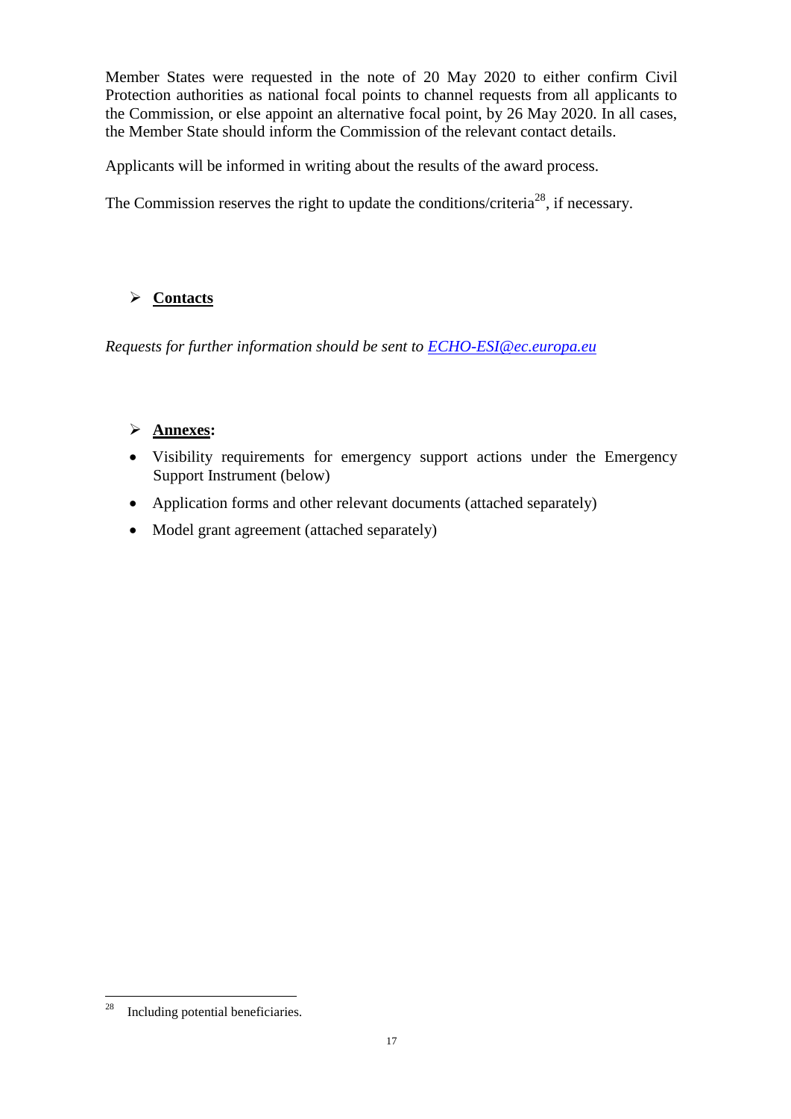Member States were requested in the note of 20 May 2020 to either confirm Civil Protection authorities as national focal points to channel requests from all applicants to the Commission, or else appoint an alternative focal point, by 26 May 2020. In all cases, the Member State should inform the Commission of the relevant contact details.

Applicants will be informed in writing about the results of the award process.

The Commission reserves the right to update the conditions/criteria<sup>28</sup>, if necessary.

## **Contacts**

*Requests for further information should be sent to [ECHO-ESI@ec.europa.eu](mailto:ECHO-ESI@ec.europa.eu)*

## **Annexes:**

- Visibility requirements for emergency support actions under the Emergency Support Instrument (below)
- Application forms and other relevant documents (attached separately)
- Model grant agreement (attached separately)

 28 Including potential beneficiaries.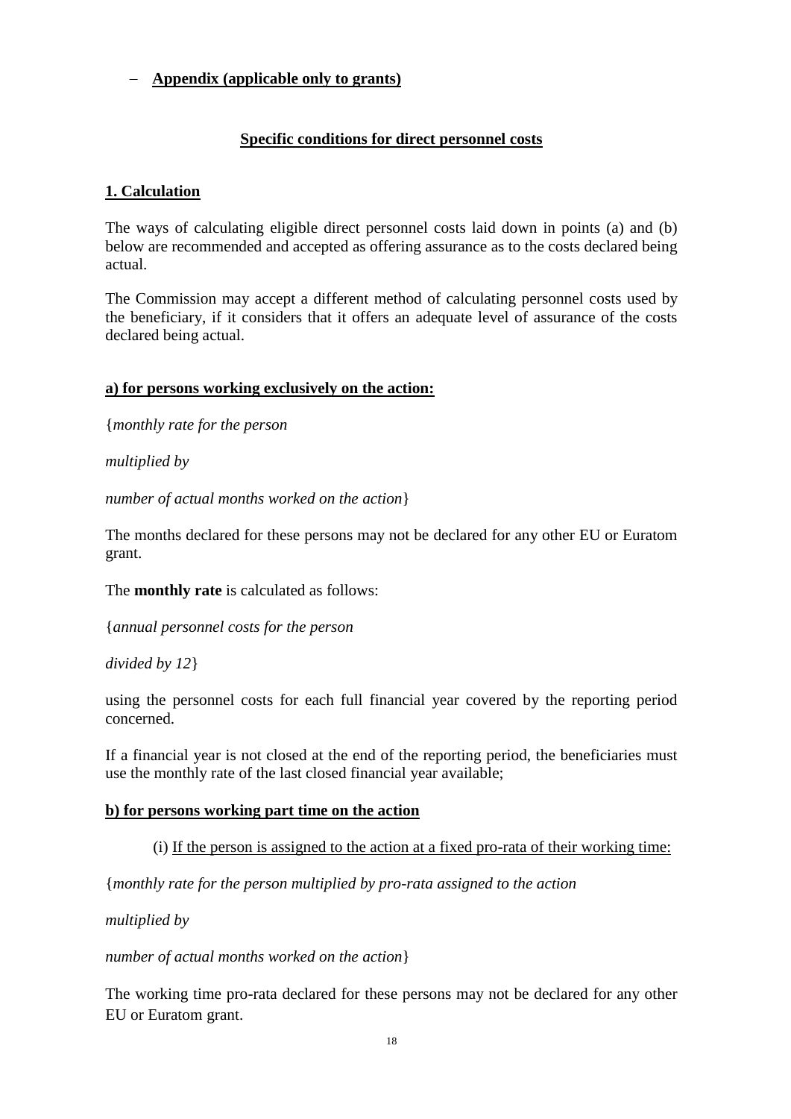## **Appendix (applicable only to grants)**

## **Specific conditions for direct personnel costs**

## **1. Calculation**

The ways of calculating eligible direct personnel costs laid down in points (a) and (b) below are recommended and accepted as offering assurance as to the costs declared being actual.

The Commission may accept a different method of calculating personnel costs used by the beneficiary, if it considers that it offers an adequate level of assurance of the costs declared being actual.

#### **a) for persons working exclusively on the action:**

{*monthly rate for the person*

*multiplied by* 

*number of actual months worked on the action*}

The months declared for these persons may not be declared for any other EU or Euratom grant.

The **monthly rate** is calculated as follows:

{*annual personnel costs for the person* 

*divided by 12*}

using the personnel costs for each full financial year covered by the reporting period concerned.

If a financial year is not closed at the end of the reporting period, the beneficiaries must use the monthly rate of the last closed financial year available;

#### **b) for persons working part time on the action**

## (i) If the person is assigned to the action at a fixed pro-rata of their working time:

{*monthly rate for the person multiplied by pro-rata assigned to the action* 

*multiplied by* 

*number of actual months worked on the action*}

The working time pro-rata declared for these persons may not be declared for any other EU or Euratom grant.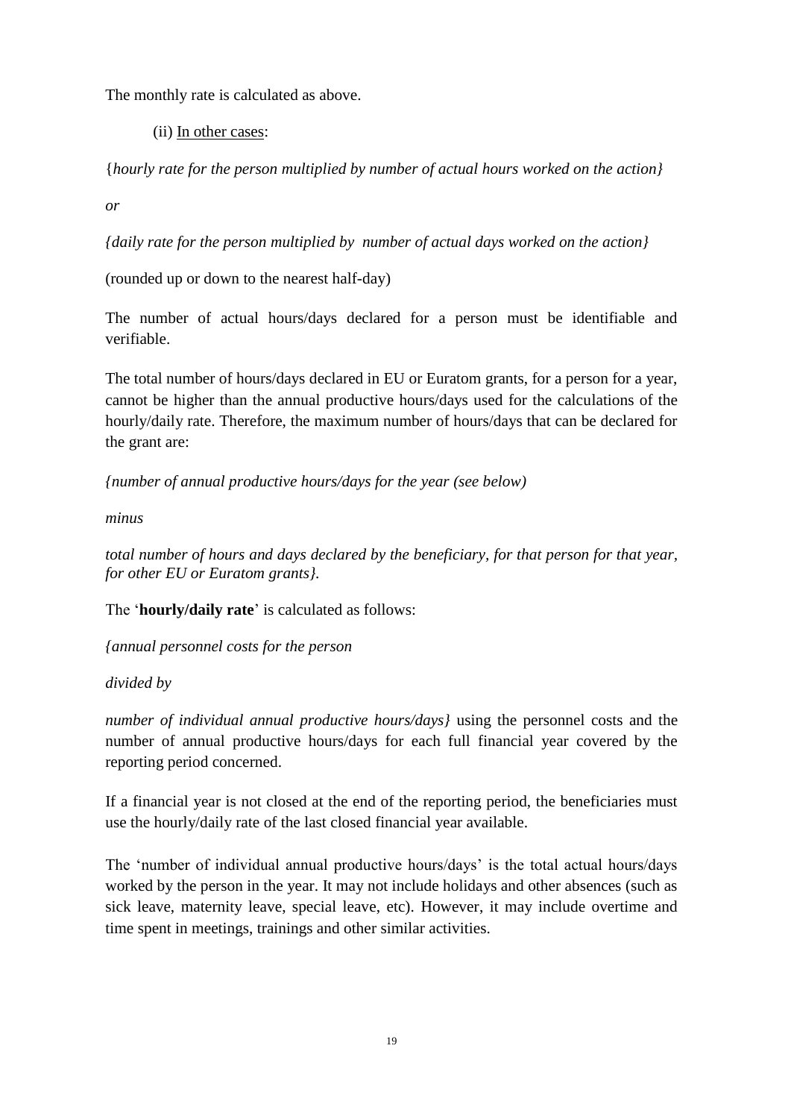The monthly rate is calculated as above.

(ii) In other cases:

{*hourly rate for the person multiplied by number of actual hours worked on the action}*

*or* 

*{daily rate for the person multiplied by number of actual days worked on the action}* 

(rounded up or down to the nearest half-day)

The number of actual hours/days declared for a person must be identifiable and verifiable.

The total number of hours/days declared in EU or Euratom grants, for a person for a year, cannot be higher than the annual productive hours/days used for the calculations of the hourly/daily rate. Therefore, the maximum number of hours/days that can be declared for the grant are:

*{number of annual productive hours/days for the year (see below)* 

*minus* 

*total number of hours and days declared by the beneficiary, for that person for that year, for other EU or Euratom grants}.*

The '**hourly/daily rate**' is calculated as follows:

*{annual personnel costs for the person* 

*divided by* 

*number of individual annual productive hours/days}* using the personnel costs and the number of annual productive hours/days for each full financial year covered by the reporting period concerned.

If a financial year is not closed at the end of the reporting period, the beneficiaries must use the hourly/daily rate of the last closed financial year available.

The 'number of individual annual productive hours/days' is the total actual hours/days worked by the person in the year. It may not include holidays and other absences (such as sick leave, maternity leave, special leave, etc). However, it may include overtime and time spent in meetings, trainings and other similar activities.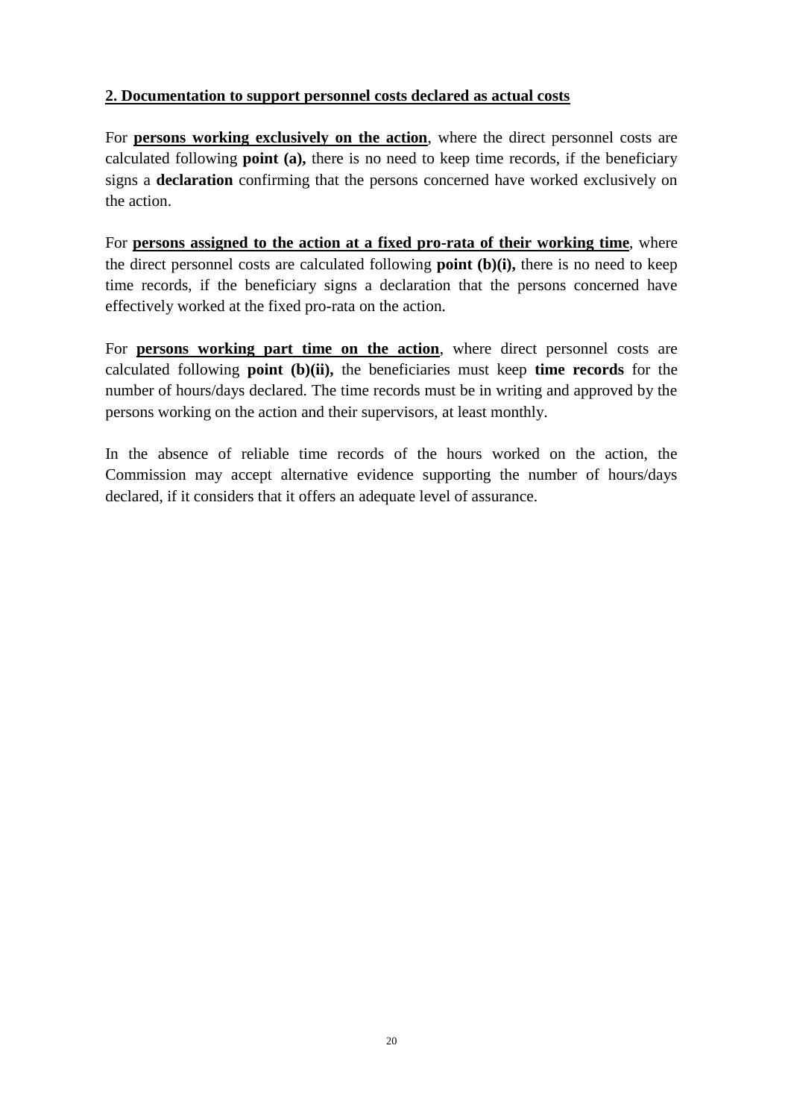## **2. Documentation to support personnel costs declared as actual costs**

For **persons working exclusively on the action**, where the direct personnel costs are calculated following **point (a),** there is no need to keep time records, if the beneficiary signs a **declaration** confirming that the persons concerned have worked exclusively on the action.

For **persons assigned to the action at a fixed pro-rata of their working time**, where the direct personnel costs are calculated following **point (b)(i),** there is no need to keep time records, if the beneficiary signs a declaration that the persons concerned have effectively worked at the fixed pro-rata on the action.

For **persons working part time on the action**, where direct personnel costs are calculated following **point (b)(ii),** the beneficiaries must keep **time records** for the number of hours/days declared. The time records must be in writing and approved by the persons working on the action and their supervisors, at least monthly.

In the absence of reliable time records of the hours worked on the action, the Commission may accept alternative evidence supporting the number of hours/days declared, if it considers that it offers an adequate level of assurance.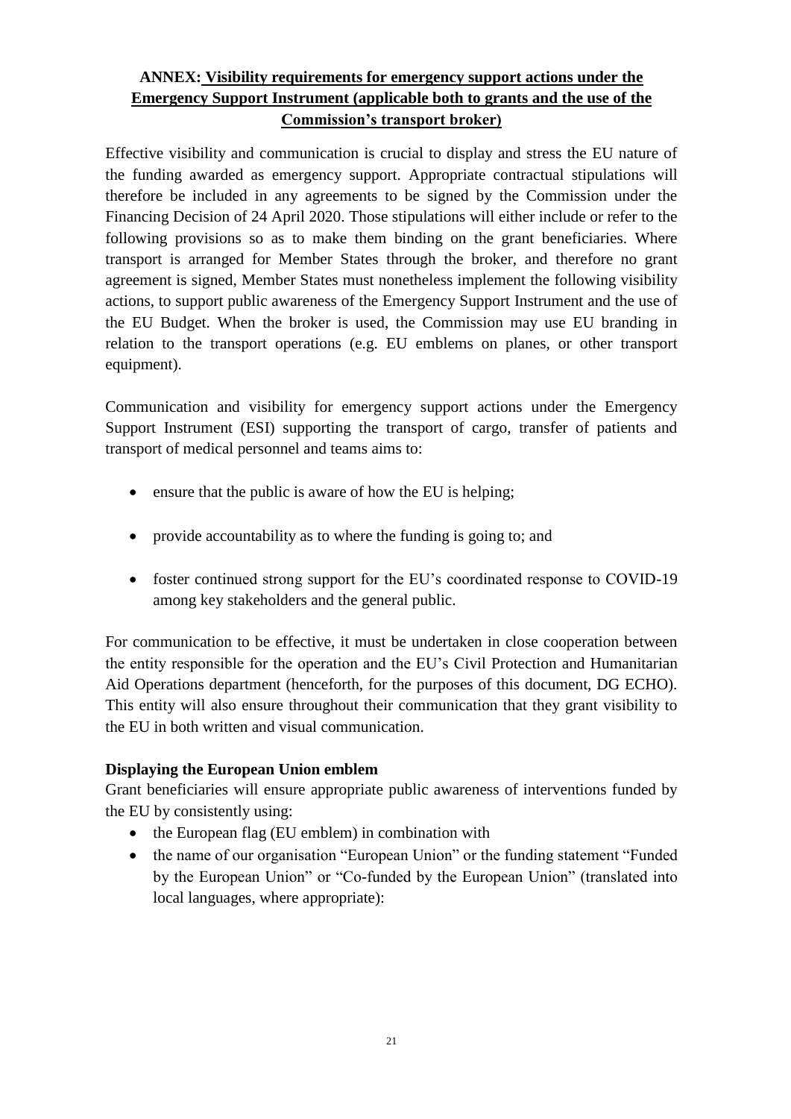## **ANNEX: Visibility requirements for emergency support actions under the Emergency Support Instrument (applicable both to grants and the use of the Commission's transport broker)**

Effective visibility and communication is crucial to display and stress the EU nature of the funding awarded as emergency support. Appropriate contractual stipulations will therefore be included in any agreements to be signed by the Commission under the Financing Decision of 24 April 2020. Those stipulations will either include or refer to the following provisions so as to make them binding on the grant beneficiaries. Where transport is arranged for Member States through the broker, and therefore no grant agreement is signed, Member States must nonetheless implement the following visibility actions, to support public awareness of the Emergency Support Instrument and the use of the EU Budget. When the broker is used, the Commission may use EU branding in relation to the transport operations (e.g. EU emblems on planes, or other transport equipment).

Communication and visibility for emergency support actions under the Emergency Support Instrument (ESI) supporting the transport of cargo, transfer of patients and transport of medical personnel and teams aims to:

- ensure that the public is aware of how the EU is helping;
- provide accountability as to where the funding is going to; and
- foster continued strong support for the EU's coordinated response to COVID-19 among key stakeholders and the general public.

For communication to be effective, it must be undertaken in close cooperation between the entity responsible for the operation and the EU's Civil Protection and Humanitarian Aid Operations department (henceforth, for the purposes of this document, DG ECHO). This entity will also ensure throughout their communication that they grant visibility to the EU in both written and visual communication.

## **Displaying the European Union emblem**

Grant beneficiaries will ensure appropriate public awareness of interventions funded by the EU by consistently using:

- the European flag (EU emblem) in combination with
- the name of our organisation "European Union" or the funding statement "Funded by the European Union" or "Co-funded by the European Union" (translated into local languages, where appropriate):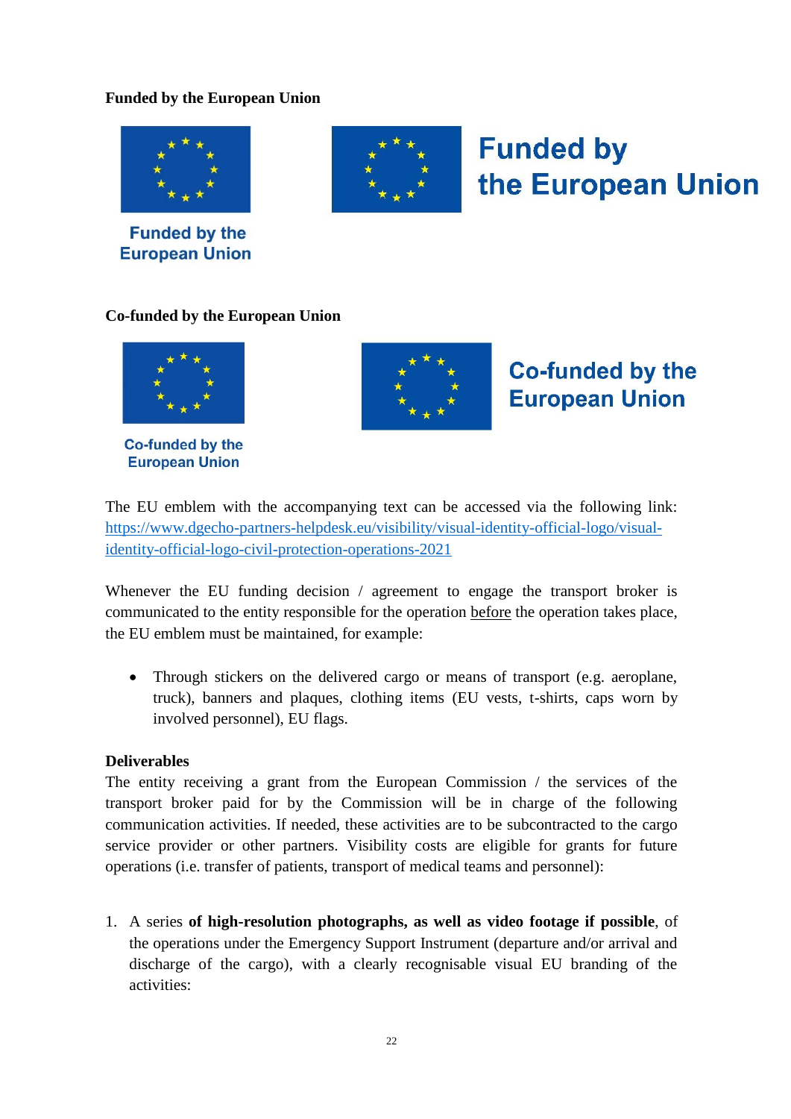## **Funded by the European Union**



**Funded by the European Union** 



# **Funded by** the European Union

## **Co-funded by the European Union**



**Co-funded by the European Union** 



# **Co-funded by the European Union**

The EU emblem with the accompanying text can be accessed via the following link: [https://www.dgecho-partners-helpdesk.eu/visibility/visual-identity-official-logo/visual](https://www.dgecho-partners-helpdesk.eu/visibility/visual-identity-official-logo/visual-identity-official-logo-civil-protection-operations-2021)[identity-official-logo-civil-protection-operations-2021](https://www.dgecho-partners-helpdesk.eu/visibility/visual-identity-official-logo/visual-identity-official-logo-civil-protection-operations-2021)

Whenever the EU funding decision / agreement to engage the transport broker is communicated to the entity responsible for the operation before the operation takes place, the EU emblem must be maintained, for example:

 Through stickers on the delivered cargo or means of transport (e.g. aeroplane, truck), banners and plaques, clothing items (EU vests, t-shirts, caps worn by involved personnel), EU flags.

#### **Deliverables**

The entity receiving a grant from the European Commission / the services of the transport broker paid for by the Commission will be in charge of the following communication activities. If needed, these activities are to be subcontracted to the cargo service provider or other partners. Visibility costs are eligible for grants for future operations (i.e. transfer of patients, transport of medical teams and personnel):

1. A series **of high-resolution photographs, as well as video footage if possible**, of the operations under the Emergency Support Instrument (departure and/or arrival and discharge of the cargo), with a clearly recognisable visual EU branding of the activities: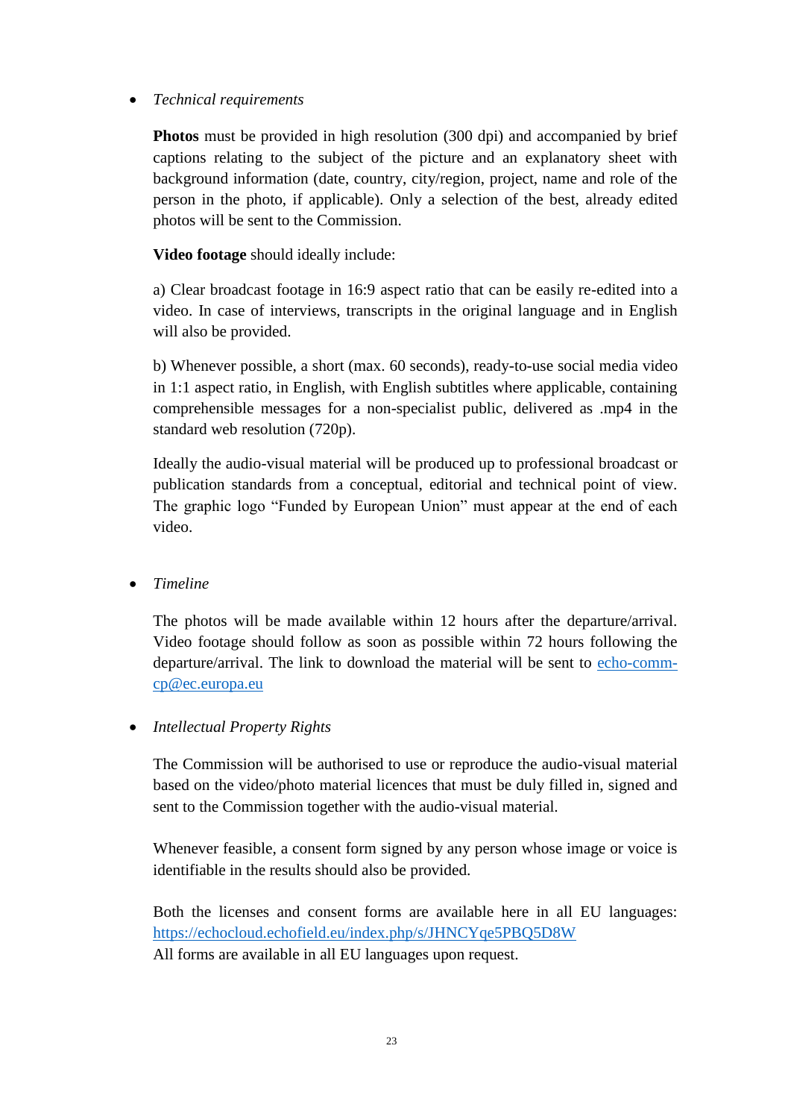## *Technical requirements*

**Photos** must be provided in high resolution (300 dpi) and accompanied by brief captions relating to the subject of the picture and an explanatory sheet with background information (date, country, city/region, project, name and role of the person in the photo, if applicable). Only a selection of the best, already edited photos will be sent to the Commission.

**Video footage** should ideally include:

a) Clear broadcast footage in 16:9 aspect ratio that can be easily re-edited into a video. In case of interviews, transcripts in the original language and in English will also be provided.

b) Whenever possible, a short (max. 60 seconds), ready-to-use social media video in 1:1 aspect ratio, in English, with English subtitles where applicable, containing comprehensible messages for a non-specialist public, delivered as .mp4 in the standard web resolution (720p).

Ideally the audio-visual material will be produced up to professional broadcast or publication standards from a conceptual, editorial and technical point of view. The graphic logo "Funded by European Union" must appear at the end of each video.

*Timeline*

The photos will be made available within 12 hours after the departure/arrival. Video footage should follow as soon as possible within 72 hours following the departure/arrival. The link to download the material will be sent to [echo-comm](mailto:echo-comm-cp@ec.europa.eu)[cp@ec.europa.eu](mailto:echo-comm-cp@ec.europa.eu)

#### *Intellectual Property Rights*

The Commission will be authorised to use or reproduce the audio-visual material based on the video/photo material licences that must be duly filled in, signed and sent to the Commission together with the audio-visual material.

Whenever feasible, a consent form signed by any person whose image or voice is identifiable in the results should also be provided.

Both the licenses and consent forms are available here in all EU languages: <https://echocloud.echofield.eu/index.php/s/JHNCYqe5PBQ5D8W> All forms are available in all EU languages upon request.